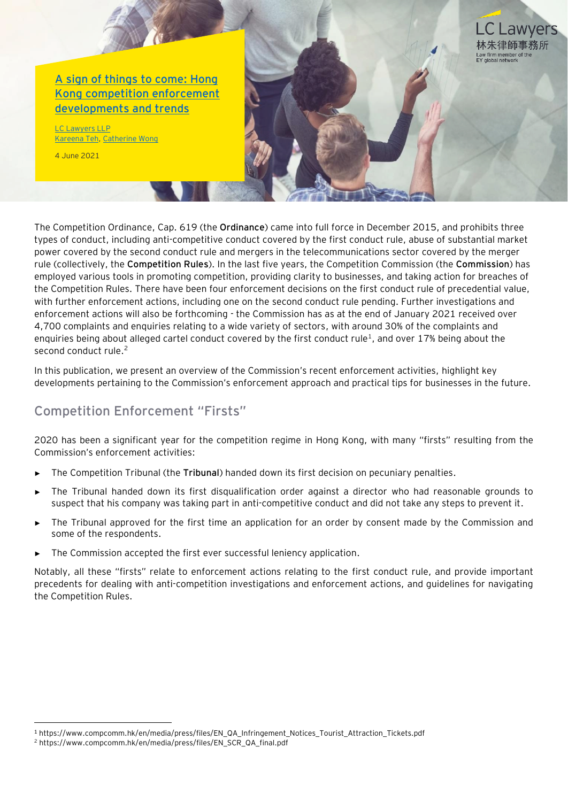

The Competition Ordinance, Cap. 619 (the **Ordinance**) came into full force in December 2015, and prohibits three types of conduct, including anti-competitive conduct covered by the first conduct rule, abuse of substantial market power covered by the second conduct rule and mergers in the telecommunications sector covered by the merger rule (collectively, the **Competition Rules**). In the last five years, the Competition Commission (the **Commission**) has employed various tools in promoting competition, providing clarity to businesses, and taking action for breaches of the Competition Rules. There have been four enforcement decisions on the first conduct rule of precedential value, with further enforcement actions, including one on the second conduct rule pending. Further investigations and enforcement actions will also be forthcoming - the Commission has as at the end of January 2021 received over 4,700 complaints and enquiries relating to a wide variety of sectors, with around 30% of the complaints and enquiries being about alleged cartel conduct covered by the first conduct rule<sup>1</sup>, and over 17% being about the second conduct rule.<sup>2</sup>

In this publication, we present an overview of the Commission's recent enforcement activities, highlight key developments pertaining to the Commission's enforcement approach and practical tips for businesses in the future.

### **Competition Enforcement "Firsts"**

2020 has been a significant year for the competition regime in Hong Kong, with many "firsts" resulting from the Commission's enforcement activities:

- The Competition Tribunal (the Tribunal) handed down its first decision on pecuniary penalties.
- ► The Tribunal handed down its first disqualification order against a director who had reasonable grounds to suspect that his company was taking part in anti-competitive conduct and did not take any steps to prevent it.
- The Tribunal approved for the first time an application for an order by consent made by the Commission and some of the respondents.
- ► The Commission accepted the first ever successful leniency application.

Notably, all these "firsts" relate to enforcement actions relating to the first conduct rule, and provide important precedents for dealing with anti-competition investigations and enforcement actions, and guidelines for navigating the Competition Rules.

<sup>1</sup> https://www.compcomm.hk/en/media/press/files/EN\_QA\_Infringement\_Notices\_Tourist\_Attraction\_Tickets.pdf

<sup>2</sup> https://www.compcomm.hk/en/media/press/files/EN\_SCR\_QA\_final.pdf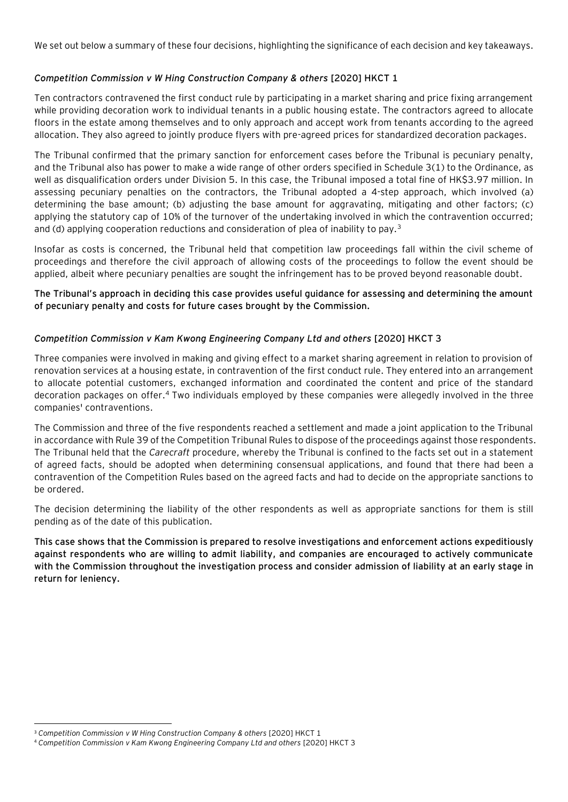We set out below a summary of these four decisions, highlighting the significance of each decision and key takeaways.

#### *Competition Commission v W Hing Construction Company & others* **[2020] HKCT 1**

Ten contractors contravened the first conduct rule by participating in a market sharing and price fixing arrangement while providing decoration work to individual tenants in a public housing estate. The contractors agreed to allocate floors in the estate among themselves and to only approach and accept work from tenants according to the agreed allocation. They also agreed to jointly produce flyers with pre-agreed prices for standardized decoration packages.

The Tribunal confirmed that the primary sanction for enforcement cases before the Tribunal is pecuniary penalty, and the Tribunal also has power to make a wide range of other orders specified in Schedule 3(1) to the Ordinance, as well as disqualification orders under Division 5. In this case, the Tribunal imposed a total fine of HK\$3.97 million. In assessing pecuniary penalties on the contractors, the Tribunal adopted a 4-step approach, which involved (a) determining the base amount; (b) adjusting the base amount for aggravating, mitigating and other factors; (c) applying the statutory cap of 10% of the turnover of the undertaking involved in which the contravention occurred; and (d) applying cooperation reductions and consideration of plea of inability to pay.<sup>3</sup>

Insofar as costs is concerned, the Tribunal held that competition law proceedings fall within the civil scheme of proceedings and therefore the civil approach of allowing costs of the proceedings to follow the event should be applied, albeit where pecuniary penalties are sought the infringement has to be proved beyond reasonable doubt.

#### **The Tribunal's approach in deciding this case provides useful guidance for assessing and determining the amount of pecuniary penalty and costs for future cases brought by the Commission.**

#### *Competition Commission v Kam Kwong Engineering Company Ltd and others* **[2020] HKCT 3**

Three companies were involved in making and giving effect to a market sharing agreement in relation to provision of renovation services at a housing estate, in contravention of the first conduct rule. They entered into an arrangement to allocate potential customers, exchanged information and coordinated the content and price of the standard decoration packages on offer.<sup>4</sup> Two individuals employed by these companies were allegedly involved in the three companies' contraventions.

The Commission and three of the five respondents reached a settlement and made a joint application to the Tribunal in accordance with Rule 39 of the Competition Tribunal Rules to dispose of the proceedings against those respondents. The Tribunal held that the *Carecraft* procedure, whereby the Tribunal is confined to the facts set out in a statement of agreed facts, should be adopted when determining consensual applications, and found that there had been a contravention of the Competition Rules based on the agreed facts and had to decide on the appropriate sanctions to be ordered.

The decision determining the liability of the other respondents as well as appropriate sanctions for them is still pending as of the date of this publication.

**This case shows that the Commission is prepared to resolve investigations and enforcement actions expeditiously against respondents who are willing to admit liability, and companies are encouraged to actively communicate with the Commission throughout the investigation process and consider admission of liability at an early stage in return for leniency.**

<sup>3</sup> *Competition Commission v W Hing Construction Company & others* [2020] HKCT 1

<sup>4</sup> *Competition Commission v Kam Kwong Engineering Company Ltd and others* [2020] HKCT 3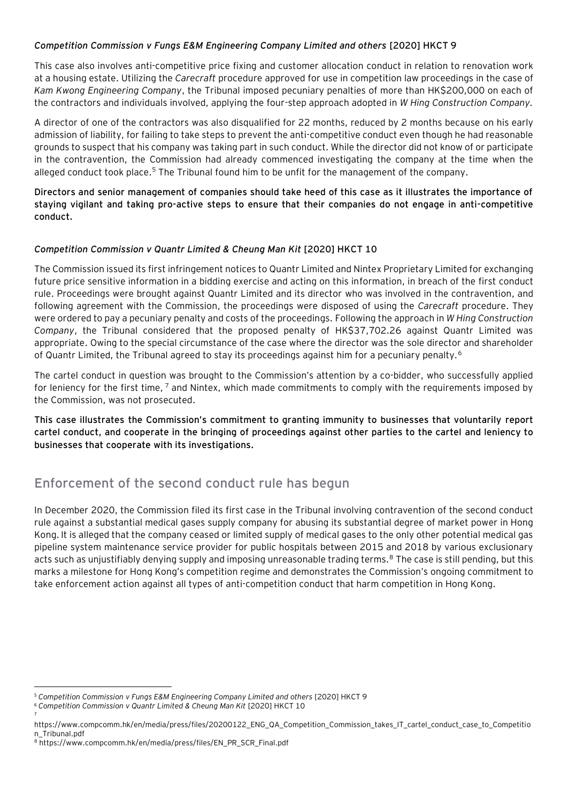#### *Competition Commission v Fungs E&M Engineering Company Limited and others* **[2020] HKCT 9**

This case also involves anti-competitive price fixing and customer allocation conduct in relation to renovation work at a housing estate. Utilizing the *Carecraft* procedure approved for use in competition law proceedings in the case of *Kam Kwong Engineering Company*, the Tribunal imposed pecuniary penalties of more than HK\$200,000 on each of the contractors and individuals involved, applying the four-step approach adopted in *W Hing Construction Company.* 

A director of one of the contractors was also disqualified for 22 months, reduced by 2 months because on his early admission of liability, for failing to take steps to prevent the anti-competitive conduct even though he had reasonable grounds to suspect that his company was taking part in such conduct. While the director did not know of or participate in the contravention, the Commission had already commenced investigating the company at the time when the alleged conduct took place.<sup>5</sup> The Tribunal found him to be unfit for the management of the company.

**Directors and senior management of companies should take heed of this case as it illustrates the importance of staying vigilant and taking pro-active steps to ensure that their companies do not engage in anti-competitive conduct.** 

#### *Competition Commission v Quantr Limited & Cheung Man Kit* **[2020] HKCT 10**

The Commission issued its first infringement notices to Quantr Limited and Nintex Proprietary Limited for exchanging future price sensitive information in a bidding exercise and acting on this information, in breach of the first conduct rule. Proceedings were brought against Quantr Limited and its director who was involved in the contravention, and following agreement with the Commission, the proceedings were disposed of using the *Carecraft* procedure. They were ordered to pay a pecuniary penalty and costs of the proceedings. Following the approach in *W Hing Construction Company*, the Tribunal considered that the proposed penalty of HK\$37,702.26 against Quantr Limited was appropriate. Owing to the special circumstance of the case where the director was the sole director and shareholder of Quantr Limited, the Tribunal agreed to stay its proceedings against him for a pecuniary penalty.<sup>6</sup>

The cartel conduct in question was brought to the Commission's attention by a co-bidder, who successfully applied for leniency for the first time, <sup>7</sup> and Nintex, which made commitments to comply with the requirements imposed by the Commission, was not prosecuted.

**This case illustrates the Commission's commitment to granting immunity to businesses that voluntarily report cartel conduct, and cooperate in the bringing of proceedings against other parties to the cartel and leniency to businesses that cooperate with its investigations.**

### **Enforcement of the second conduct rule has begun**

In December 2020, the Commission filed its first case in the Tribunal involving contravention of the second conduct rule against a substantial medical gases supply company for abusing its substantial degree of market power in Hong Kong. It is alleged that the company ceased or limited supply of medical gases to the only other potential medical gas pipeline system maintenance service provider for public hospitals between 2015 and 2018 by various exclusionary acts such as unjustifiably denying supply and imposing unreasonable trading terms.<sup>8</sup> The case is still pending, but this marks a milestone for Hong Kong's competition regime and demonstrates the Commission's ongoing commitment to take enforcement action against all types of anti-competition conduct that harm competition in Hong Kong.

7

<sup>5</sup> *Competition Commission v Fungs E&M Engineering Company Limited and others* [2020] HKCT 9

<sup>6</sup> *Competition Commission v Quantr Limited & Cheung Man Kit* [2020] HKCT 10

https://www.compcomm.hk/en/media/press/files/20200122\_ENG\_QA\_Competition\_Commission\_takes\_IT\_cartel\_conduct\_case\_to\_Competitio n\_Tribunal.pdf

<sup>8</sup> https://www.compcomm.hk/en/media/press/files/EN\_PR\_SCR\_Final.pdf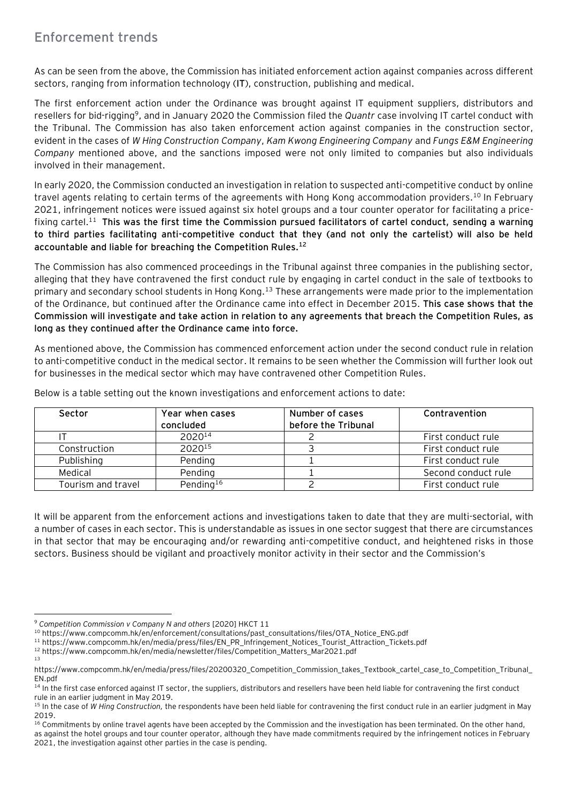## **Enforcement trends**

As can be seen from the above, the Commission has initiated enforcement action against companies across different sectors, ranging from information technology (**IT**), construction, publishing and medical.

The first enforcement action under the Ordinance was brought against IT equipment suppliers, distributors and resellers for bid-rigging<sup>9</sup>, and in January 2020 the Commission filed the *Quantr* case involving IT cartel conduct with the Tribunal. The Commission has also taken enforcement action against companies in the construction sector, evident in the cases of *W Hing Construction Company*, *Kam Kwong Engineering Company* and *Fungs E&M Engineering Company* mentioned above, and the sanctions imposed were not only limited to companies but also individuals involved in their management.

In early 2020, the Commission conducted an investigation in relation to suspected anti-competitive conduct by online travel agents relating to certain terms of the agreements with Hong Kong accommodation providers.<sup>10</sup> In February 2021, infringement notices were issued against six hotel groups and a tour counter operator for facilitating a pricefixing cartel.<sup>11</sup> **This was the first time the Commission pursued facilitators of cartel conduct, sending a warning to third parties facilitating anti-competitive conduct that they (and not only the cartelist) will also be held accountable and liable for breaching the Competition Rules.<sup>12</sup>**

The Commission has also commenced proceedings in the Tribunal against three companies in the publishing sector, alleging that they have contravened the first conduct rule by engaging in cartel conduct in the sale of textbooks to primary and secondary school students in Hong Kong.<sup>13</sup> These arrangements were made prior to the implementation of the Ordinance, but continued after the Ordinance came into effect in December 2015. **This case shows that the Commission will investigate and take action in relation to any agreements that breach the Competition Rules, as long as they continued after the Ordinance came into force.**

As mentioned above, the Commission has commenced enforcement action under the second conduct rule in relation to anti-competitive conduct in the medical sector. It remains to be seen whether the Commission will further look out for businesses in the medical sector which may have contravened other Competition Rules.

| Sector             | Year when cases<br>concluded | Number of cases<br>before the Tribunal | Contravention       |
|--------------------|------------------------------|----------------------------------------|---------------------|
|                    | 2020 <sup>14</sup>           |                                        | First conduct rule  |
| Construction       | 202015                       |                                        | First conduct rule  |
| Publishing         | Pending                      |                                        | First conduct rule  |
| Medical            | Pending                      |                                        | Second conduct rule |
| Tourism and travel | Pending <sup>16</sup>        |                                        | First conduct rule  |

Below is a table setting out the known investigations and enforcement actions to date:

It will be apparent from the enforcement actions and investigations taken to date that they are multi-sectorial, with a number of cases in each sector. This is understandable as issues in one sector suggest that there are circumstances in that sector that may be encouraging and/or rewarding anti-competitive conduct, and heightened risks in those sectors. Business should be vigilant and proactively monitor activity in their sector and the Commission's

<sup>10</sup> https://www.compcomm.hk/en/enforcement/consultations/past\_consultations/files/OTA\_Notice\_ENG.pdf

<sup>11</sup> https://www.compcomm.hk/en/media/press/files/EN\_PR\_Infringement\_Notices\_Tourist\_Attraction\_Tickets.pdf

<sup>9</sup> *Competition Commission v Company N and others* [2020] HKCT 11

<sup>12</sup> https://www.compcomm.hk/en/media/newsletter/files/Competition\_Matters\_Mar2021.pdf 13

https://www.compcomm.hk/en/media/press/files/20200320\_Competition\_Commission\_takes\_Textbook\_cartel\_case\_to\_Competition\_Tribunal\_ EN.pdf

<sup>&</sup>lt;sup>14</sup> In the first case enforced against IT sector, the suppliers, distributors and resellers have been held liable for contravening the first conduct rule in an earlier judgment in May 2019.

<sup>15</sup> In the case of *W Hing Construction,* the respondents have been held liable for contravening the first conduct rule in an earlier judgment in May 2019.

<sup>&</sup>lt;sup>16</sup> Commitments by online travel agents have been accepted by the Commission and the investigation has been terminated. On the other hand, as against the hotel groups and tour counter operator, although they have made commitments required by the infringement notices in February 2021, the investigation against other parties in the case is pending.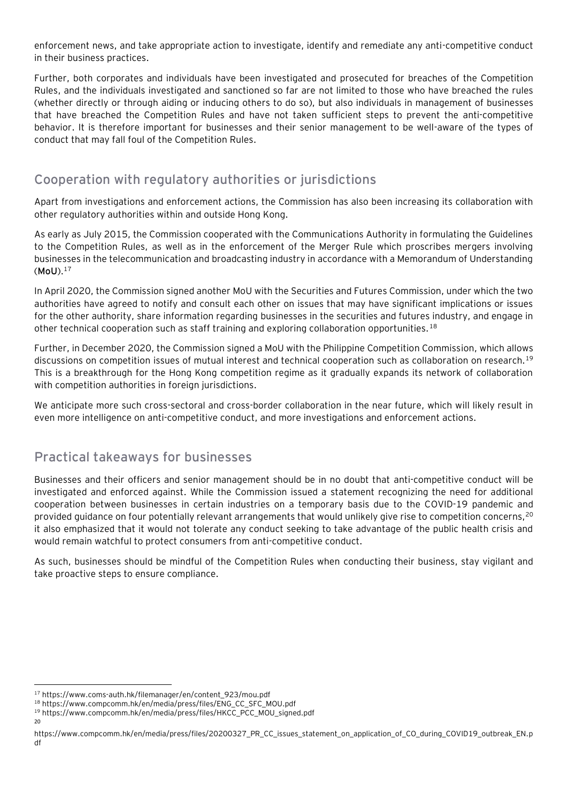enforcement news, and take appropriate action to investigate, identify and remediate any anti-competitive conduct in their business practices.

Further, both corporates and individuals have been investigated and prosecuted for breaches of the Competition Rules, and the individuals investigated and sanctioned so far are not limited to those who have breached the rules (whether directly or through aiding or inducing others to do so), but also individuals in management of businesses that have breached the Competition Rules and have not taken sufficient steps to prevent the anti-competitive behavior. It is therefore important for businesses and their senior management to be well-aware of the types of conduct that may fall foul of the Competition Rules.

### **Cooperation with regulatory authorities or jurisdictions**

Apart from investigations and enforcement actions, the Commission has also been increasing its collaboration with other regulatory authorities within and outside Hong Kong.

As early as July 2015, the Commission cooperated with the Communications Authority in formulating the Guidelines to the Competition Rules, as well as in the enforcement of the Merger Rule which proscribes mergers involving businesses in the telecommunication and broadcasting industry in accordance with a Memorandum of Understanding (**MoU**).<sup>17</sup>

In April 2020, the Commission signed another MoU with the Securities and Futures Commission, under which the two authorities have agreed to notify and consult each other on issues that may have significant implications or issues for the other authority, share information regarding businesses in the securities and futures industry, and engage in other technical cooperation such as staff training and exploring collaboration opportunities.<sup>18</sup>

Further, in December 2020, the Commission signed a MoU with the Philippine Competition Commission, which allows discussions on competition issues of mutual interest and technical cooperation such as collaboration on research.<sup>19</sup> This is a breakthrough for the Hong Kong competition regime as it gradually expands its network of collaboration with competition authorities in foreign jurisdictions.

We anticipate more such cross-sectoral and cross-border collaboration in the near future, which will likely result in even more intelligence on anti-competitive conduct, and more investigations and enforcement actions.

### **Practical takeaways for businesses**

Businesses and their officers and senior management should be in no doubt that anti-competitive conduct will be investigated and enforced against. While the Commission issued a statement recognizing the need for additional cooperation between businesses in certain industries on a temporary basis due to the COVID-19 pandemic and provided guidance on four potentially relevant arrangements that would unlikely give rise to competition concerns,<sup>20</sup> it also emphasized that it would not tolerate any conduct seeking to take advantage of the public health crisis and would remain watchful to protect consumers from anti-competitive conduct.

As such, businesses should be mindful of the Competition Rules when conducting their business, stay vigilant and take proactive steps to ensure compliance.

20

<sup>17</sup> https://www.coms-auth.hk/filemanager/en/content\_923/mou.pdf

<sup>18</sup> https://www.compcomm.hk/en/media/press/files/ENG\_CC\_SFC\_MOU.pdf

<sup>19</sup> https://www.compcomm.hk/en/media/press/files/HKCC\_PCC\_MOU\_signed.pdf

https://www.compcomm.hk/en/media/press/files/20200327\_PR\_CC\_issues\_statement\_on\_application\_of\_CO\_during\_COVID19\_outbreak\_EN.p df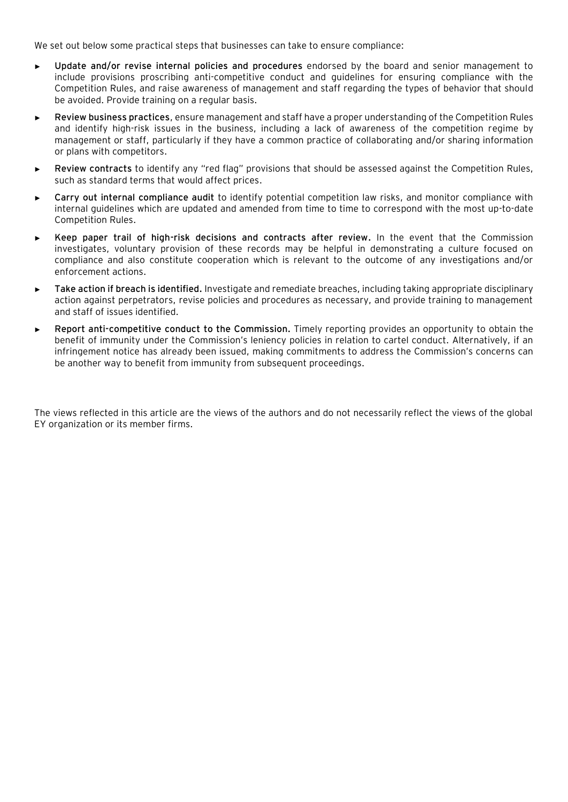We set out below some practical steps that businesses can take to ensure compliance:

- ► **Update and/or revise internal policies and procedures** endorsed by the board and senior management to include provisions proscribing anti-competitive conduct and guidelines for ensuring compliance with the Competition Rules, and raise awareness of management and staff regarding the types of behavior that should be avoided. Provide training on a regular basis.
- ► **Review business practices**, ensure management and staff have a proper understanding of the Competition Rules and identify high-risk issues in the business, including a lack of awareness of the competition regime by management or staff, particularly if they have a common practice of collaborating and/or sharing information or plans with competitors.
- ► **Review contracts** to identify any "red flag" provisions that should be assessed against the Competition Rules, such as standard terms that would affect prices.
- ► **Carry out internal compliance audit** to identify potential competition law risks, and monitor compliance with internal guidelines which are updated and amended from time to time to correspond with the most up-to-date Competition Rules.
- ► **Keep paper trail of high-risk decisions and contracts after review.** In the event that the Commission investigates, voluntary provision of these records may be helpful in demonstrating a culture focused on compliance and also constitute cooperation which is relevant to the outcome of any investigations and/or enforcement actions.
- ► **Take action if breach is identified.** Investigate and remediate breaches, including taking appropriate disciplinary action against perpetrators, revise policies and procedures as necessary, and provide training to management and staff of issues identified.
- ► **Report anti-competitive conduct to the Commission.** Timely reporting provides an opportunity to obtain the benefit of immunity under the Commission's leniency policies in relation to cartel conduct. Alternatively, if an infringement notice has already been issued, making commitments to address the Commission's concerns can be another way to benefit from immunity from subsequent proceedings.

The views reflected in this article are the views of the authors and do not necessarily reflect the views of the global EY organization or its member firms.